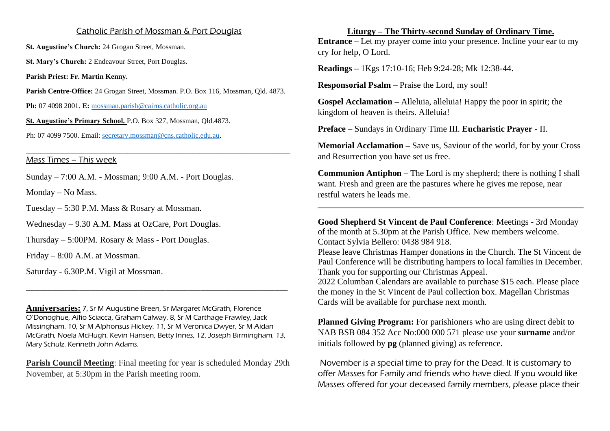## Catholic Parish of Mossman & Port Douglas

**St. Augustine's Church:** 24 Grogan Street, Mossman.

**St. Mary's Church:** 2 Endeavour Street, Port Douglas.

**Parish Priest: Fr. Martin Kenny.**

**Parish Centre-Office:** 24 Grogan Street, Mossman. P.O. Box 116, Mossman, Qld. 4873.

**\_\_\_\_\_\_\_\_\_\_\_\_\_\_\_\_\_\_\_\_\_\_\_\_\_\_\_\_\_\_\_\_\_\_\_\_\_\_\_\_\_\_\_\_\_\_\_\_\_\_\_\_\_\_\_\_\_\_\_\_\_\_\_\_\_\_\_\_\_\_\_\_\_**

**Ph:** 07 4098 2001. **E:** [mossman.parish@cairns.catholic.org.au](mailto:mossman.parish@cairns.catholic.org.au)

**St. Augustine's Primary School.** P.O. Box 327, Mossman, Qld.4873.

Ph: 07 4099 7500. Email: [secretary.mossman@cns.catholic.edu.au.](mailto:secretary.mossman@cns.catholic.edu.au)

Mass Times – This week

Sunday – 7:00 A.M. - Mossman; 9:00 A.M. - Port Douglas.

Monday – No Mass.

Tuesday – 5:30 P.M. Mass & Rosary at Mossman.

Wednesday – 9.30 A.M. Mass at OzCare, Port Douglas.

Thursday – 5:00PM. Rosary & Mass - Port Douglas.

Friday – 8:00 A.M. at Mossman.

Saturday - 6.30P.M. Vigil at Mossman.

**Anniversaries:** 7, Sr M Augustine Breen, Sr Margaret McGrath, Florence O'Donoghue, Alfio Sciacca, Graham Calway. 8, Sr M Carthage Frawley, Jack Missingham. 10, Sr M Alphonsus Hickey. 11, Sr M Veronica Dwyer, Sr M Aidan McGrath, Noela McHugh. Kevin Hansen, Betty Innes, 12, Joseph Birmingham. 13, Mary Schulz. Kenneth John Adams.

\_\_\_\_\_\_\_\_\_\_\_\_\_\_\_\_\_\_\_\_\_\_\_\_\_\_\_\_\_\_\_\_\_\_\_\_\_\_\_\_\_\_\_\_\_\_\_\_\_\_\_\_\_\_\_\_\_\_\_\_

**Parish Council Meeting**: Final meeting for year is scheduled Monday 29th November, at 5:30pm in the Parish meeting room.

**Liturgy – The Thirty-second Sunday of Ordinary Time. Entrance –** Let my prayer come into your presence. Incline your ear to my cry for help, O Lord.

**Readings –** 1Kgs 17:10-16; Heb 9:24-28; Mk 12:38-44.

**Responsorial Psalm –** Praise the Lord, my soul!

**Gospel Acclamation –** Alleluia, alleluia! Happy the poor in spirit; the kingdom of heaven is theirs. Alleluia!

**Preface –** Sundays in Ordinary Time III. **Eucharistic Prayer** - II.

**Memorial Acclamation –** Save us, Saviour of the world, for by your Cross and Resurrection you have set us free.

**Communion Antiphon –** The Lord is my shepherd; there is nothing I shall want. Fresh and green are the pastures where he gives me repose, near restful waters he leads me.

**Good Shepherd St Vincent de Paul Conference**: Meetings - 3rd Monday of the month at 5.30pm at the Parish Office. New members welcome. Contact Sylvia Bellero: 0438 984 918. Please leave Christmas Hamper donations in the Church. The St Vincent de Paul Conference will be distributing hampers to local families in December. Thank you for supporting our Christmas Appeal. 2022 Columban Calendars are available to purchase \$15 each. Please place the money in the St Vincent de Paul collection box. Magellan Christmas Cards will be available for purchase next month.

**Planned Giving Program:** For parishioners who are using direct debit to NAB BSB 084 352 Acc No:000 000 571 please use your **surname** and/or initials followed by **pg** (planned giving) as reference.

November is a special time to pray for the Dead. It is customary to offer Masses for Family and friends who have died. If you would like Masses offered for your deceased family members, please place their